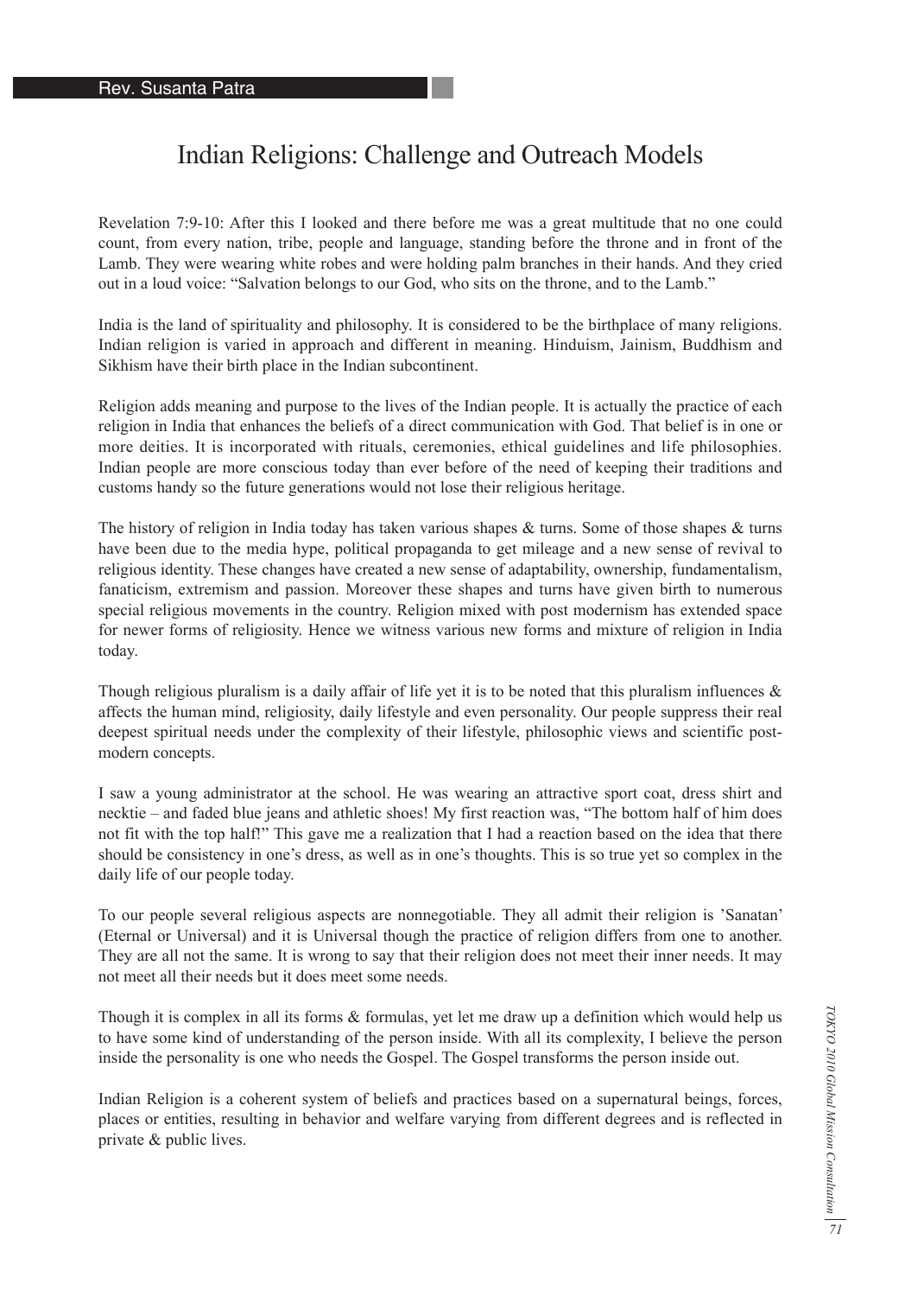## Indian Religions: Challenge and Outreach Models

Revelation 7:9-10: After this I looked and there before me was a great multitude that no one could count, from every nation, tribe, people and language, standing before the throne and in front of the Lamb. They were wearing white robes and were holding palm branches in their hands. And they cried out in a loud voice: "Salvation belongs to our God, who sits on the throne, and to the Lamb."

India is the land of spirituality and philosophy. It is considered to be the birthplace of many religions. Indian religion is varied in approach and different in meaning. Hinduism, Jainism, Buddhism and Sikhism have their birth place in the Indian subcontinent.

Religion adds meaning and purpose to the lives of the Indian people. It is actually the practice of each religion in India that enhances the beliefs of a direct communication with God. That belief is in one or more deities. It is incorporated with rituals, ceremonies, ethical guidelines and life philosophies. Indian people are more conscious today than ever before of the need of keeping their traditions and customs handy so the future generations would not lose their religious heritage.

The history of religion in India today has taken various shapes  $\&$  turns. Some of those shapes  $\&$  turns have been due to the media hype, political propaganda to get mileage and a new sense of revival to religious identity. These changes have created a new sense of adaptability, ownership, fundamentalism, fanaticism, extremism and passion. Moreover these shapes and turns have given birth to numerous special religious movements in the country. Religion mixed with post modernism has extended space for newer forms of religiosity. Hence we witness various new forms and mixture of religion in India today.

Though religious pluralism is a daily affair of life yet it is to be noted that this pluralism influences  $\&$ affects the human mind, religiosity, daily lifestyle and even personality. Our people suppress their real deepest spiritual needs under the complexity of their lifestyle, philosophic views and scientific postmodern concepts.

I saw a young administrator at the school. He was wearing an attractive sport coat, dress shirt and necktie – and faded blue jeans and athletic shoes! My first reaction was, "The bottom half of him does not fit with the top half!" This gave me a realization that I had a reaction based on the idea that there should be consistency in one's dress, as well as in one's thoughts. This is so true yet so complex in the daily life of our people today.

To our people several religious aspects are nonnegotiable. They all admit their religion is 'Sanatan' (Eternal or Universal) and it is Universal though the practice of religion differs from one to another. They are all not the same. It is wrong to say that their religion does not meet their inner needs. It may not meet all their needs but it does meet some needs.

Though it is complex in all its forms & formulas, yet let me draw up a definition which would help us to have some kind of understanding of the person inside. With all its complexity, I believe the person inside the personality is one who needs the Gospel. The Gospel transforms the person inside out.

Indian Religion is a coherent system of beliefs and practices based on a supernatural beings, forces, places or entities, resulting in behavior and welfare varying from different degrees and is reflected in private & public lives.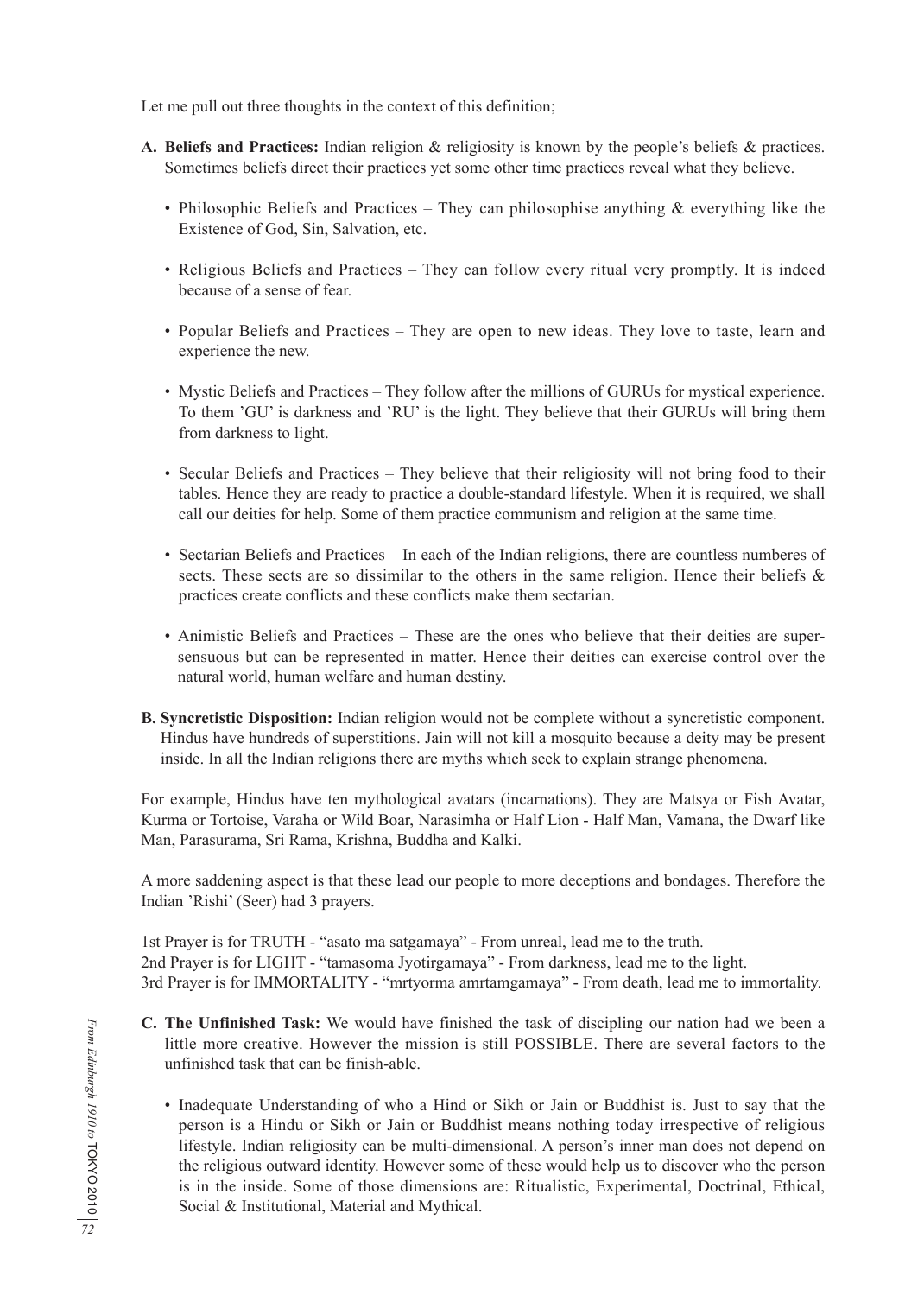Let me pull out three thoughts in the context of this definition;

- **A. Beliefs and Practices:** Indian religion & religiosity is known by the people's beliefs & practices. Sometimes beliefs direct their practices yet some other time practices reveal what they believe.
	- Philosophic Beliefs and Practices They can philosophise anything  $\&$  everything like the Existence of God, Sin, Salvation, etc.
	- Religious Beliefs and Practices They can follow every ritual very promptly. It is indeed because of a sense of fear.
	- Popular Beliefs and Practices They are open to new ideas. They love to taste, learn and experience the new.
	- Mystic Beliefs and Practices They follow after the millions of GURUs for mystical experience. To them 'GU' is darkness and 'RU' is the light. They believe that their GURUs will bring them from darkness to light.
	- Secular Beliefs and Practices They believe that their religiosity will not bring food to their tables. Hence they are ready to practice a double-standard lifestyle. When it is required, we shall call our deities for help. Some of them practice communism and religion at the same time.
	- Sectarian Beliefs and Practices In each of the Indian religions, there are countless numberes of sects. These sects are so dissimilar to the others in the same religion. Hence their beliefs  $\&$ practices create conflicts and these conflicts make them sectarian.
	- Animistic Beliefs and Practices These are the ones who believe that their deities are supersensuous but can be represented in matter. Hence their deities can exercise control over the natural world, human welfare and human destiny.
- **B. Syncretistic Disposition:** Indian religion would not be complete without a syncretistic component. Hindus have hundreds of superstitions. Jain will not kill a mosquito because a deity may be present inside. In all the Indian religions there are myths which seek to explain strange phenomena.

For example, Hindus have ten mythological avatars (incarnations). They are Matsya or Fish Avatar, Kurma or Tortoise, Varaha or Wild Boar, Narasimha or Half Lion - Half Man, Vamana, the Dwarf like Man, Parasurama, Sri Rama, Krishna, Buddha and Kalki.

A more saddening aspect is that these lead our people to more deceptions and bondages. Therefore the Indian 'Rishi' (Seer) had 3 prayers.

1st Prayer is for TRUTH - "asato ma satgamaya" - From unreal, lead me to the truth. 2nd Prayer is for LIGHT - "tamasoma Jyotirgamaya" - From darkness, lead me to the light. 3rd Prayer is for IMMORTALITY - "mrtyorma amrtamgamaya" - From death, lead me to immortality.

- **C. The Unfinished Task:** We would have finished the task of discipling our nation had we been a little more creative. However the mission is still POSSIBLE. There are several factors to the unfinished task that can be finish-able.
	- Inadequate Understanding of who a Hind or Sikh or Jain or Buddhist is. Just to say that the person is a Hindu or Sikh or Jain or Buddhist means nothing today irrespective of religious lifestyle. Indian religiosity can be multi-dimensional. A person's inner man does not depend on the religious outward identity. However some of these would help us to discover who the person is in the inside. Some of those dimensions are: Ritualistic, Experimental, Doctrinal, Ethical, Social & Institutional, Material and Mythical.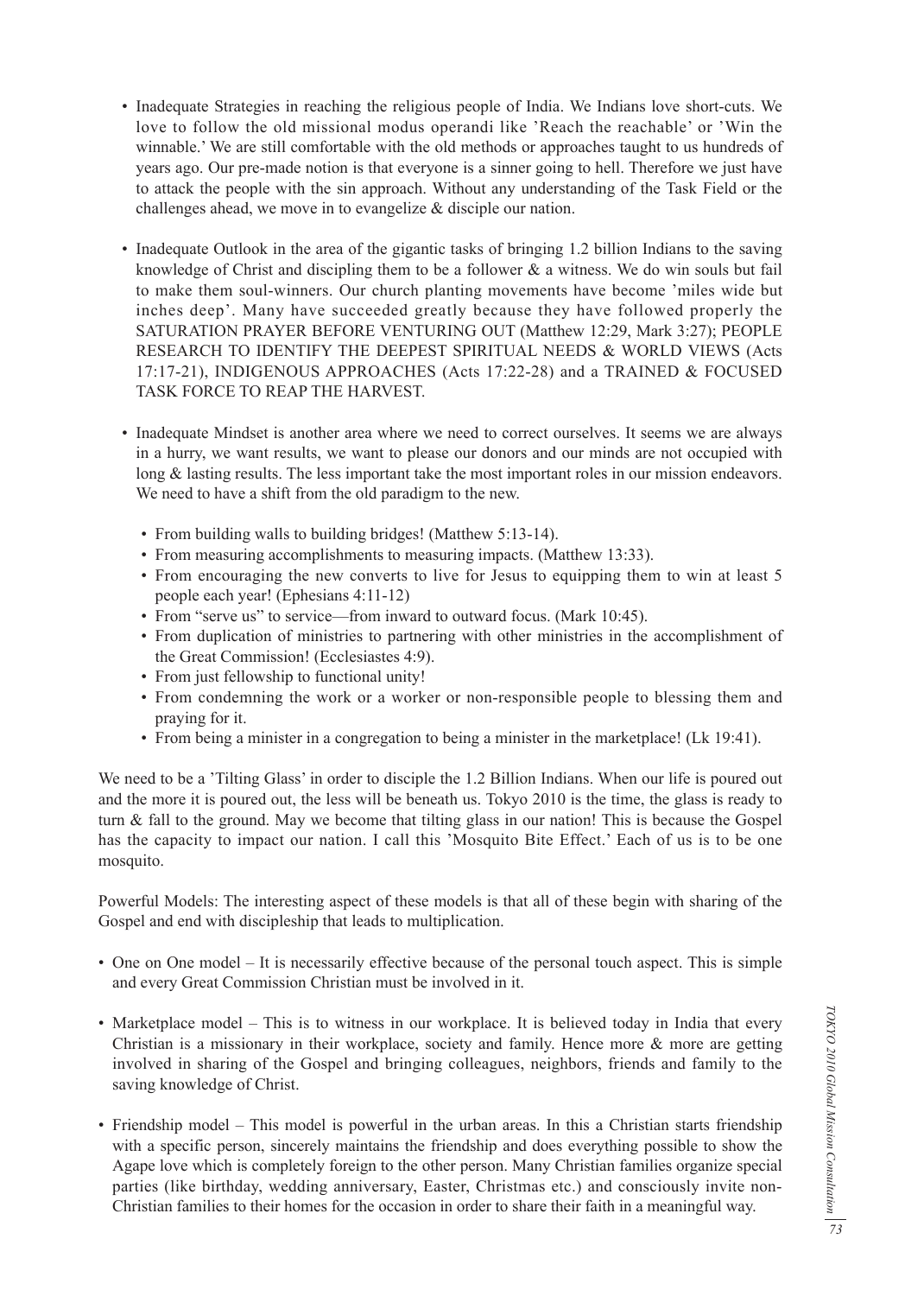- Inadequate Strategies in reaching the religious people of India. We Indians love short-cuts. We love to follow the old missional modus operandi like 'Reach the reachable' or 'Win the winnable.' We are still comfortable with the old methods or approaches taught to us hundreds of years ago. Our pre-made notion is that everyone is a sinner going to hell. Therefore we just have to attack the people with the sin approach. Without any understanding of the Task Field or the challenges ahead, we move in to evangelize & disciple our nation.
- Inadequate Outlook in the area of the gigantic tasks of bringing 1.2 billion Indians to the saving knowledge of Christ and discipling them to be a follower & a witness. We do win souls but fail to make them soul-winners. Our church planting movements have become 'miles wide but inches deep'. Many have succeeded greatly because they have followed properly the SATURATION PRAYER BEFORE VENTURING OUT (Matthew 12:29, Mark 3:27); PEOPLE RESEARCH TO IDENTIFY THE DEEPEST SPIRITUAL NEEDS & WORLD VIEWS (Acts 17:17-21), INDIGENOUS APPROACHES (Acts 17:22-28) and a TRAINED & FOCUSED TASK FORCE TO REAP THE HARVEST.
- Inadequate Mindset is another area where we need to correct ourselves. It seems we are always in a hurry, we want results, we want to please our donors and our minds are not occupied with long & lasting results. The less important take the most important roles in our mission endeavors. We need to have a shift from the old paradigm to the new.
	- From building walls to building bridges! (Matthew 5:13-14).
	- From measuring accomplishments to measuring impacts. (Matthew 13:33).
	- From encouraging the new converts to live for Jesus to equipping them to win at least 5 people each year! (Ephesians 4:11-12)
	- From "serve us" to service—from inward to outward focus. (Mark 10:45).
	- From duplication of ministries to partnering with other ministries in the accomplishment of the Great Commission! (Ecclesiastes 4:9).
	- From just fellowship to functional unity!
	- From condemning the work or a worker or non-responsible people to blessing them and praying for it.
	- From being a minister in a congregation to being a minister in the marketplace! (Lk 19:41).

We need to be a 'Tilting Glass' in order to disciple the 1.2 Billion Indians. When our life is poured out and the more it is poured out, the less will be beneath us. Tokyo 2010 is the time, the glass is ready to turn & fall to the ground. May we become that tilting glass in our nation! This is because the Gospel has the capacity to impact our nation. I call this 'Mosquito Bite Effect.' Each of us is to be one mosquito.

Powerful Models: The interesting aspect of these models is that all of these begin with sharing of the Gospel and end with discipleship that leads to multiplication.

- One on One model It is necessarily effective because of the personal touch aspect. This is simple and every Great Commission Christian must be involved in it.
- Marketplace model This is to witness in our workplace. It is believed today in India that every Christian is a missionary in their workplace, society and family. Hence more & more are getting involved in sharing of the Gospel and bringing colleagues, neighbors, friends and family to the saving knowledge of Christ.
- Friendship model This model is powerful in the urban areas. In this a Christian starts friendship with a specific person, sincerely maintains the friendship and does everything possible to show the Agape love which is completely foreign to the other person. Many Christian families organize special parties (like birthday, wedding anniversary, Easter, Christmas etc.) and consciously invite non-Christian families to their homes for the occasion in order to share their faith in a meaningful way.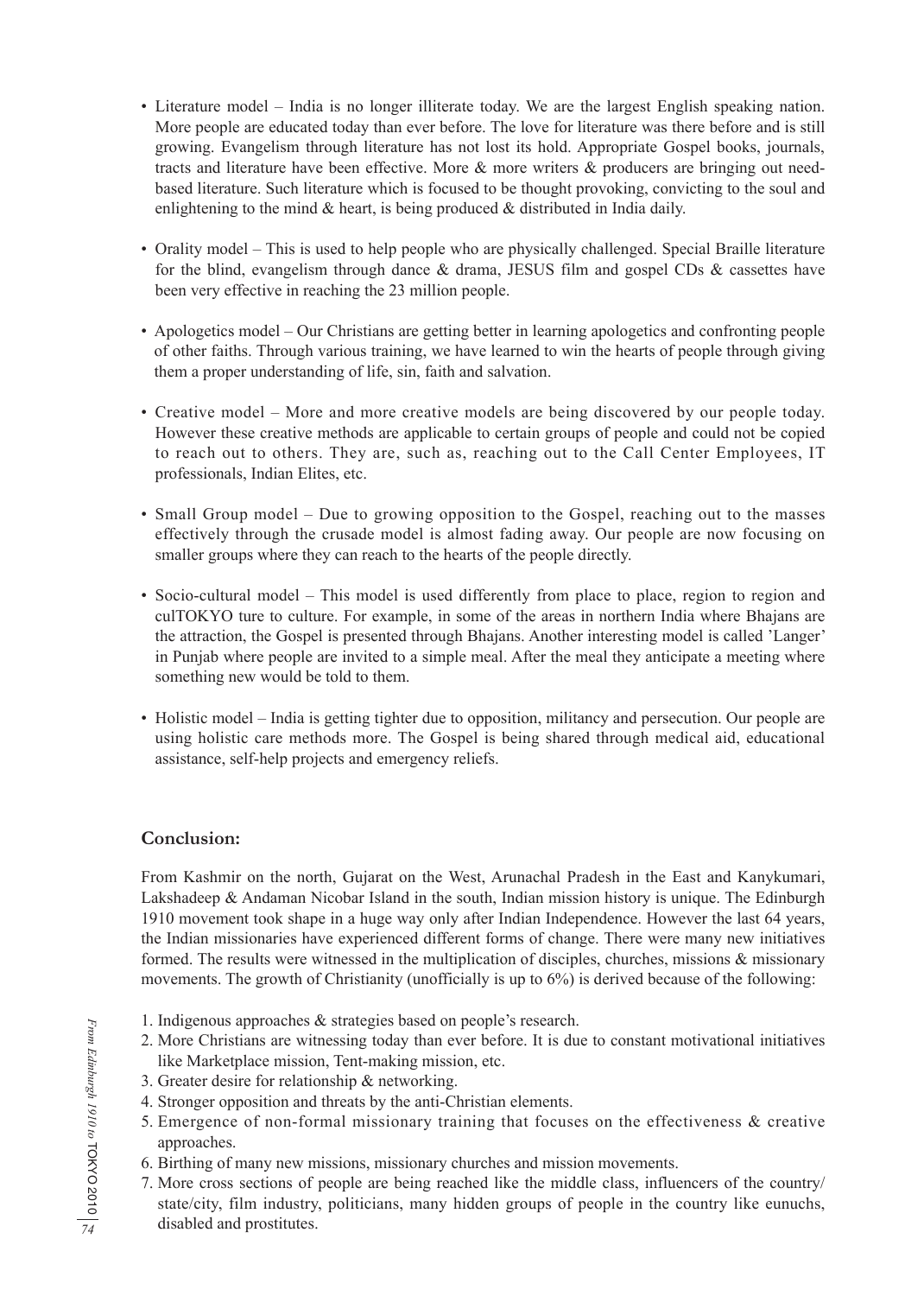- Literature model India is no longer illiterate today. We are the largest English speaking nation. More people are educated today than ever before. The love for literature was there before and is still growing. Evangelism through literature has not lost its hold. Appropriate Gospel books, journals, tracts and literature have been effective. More & more writers & producers are bringing out needbased literature. Such literature which is focused to be thought provoking, convicting to the soul and enlightening to the mind & heart, is being produced & distributed in India daily.
- Orality model This is used to help people who are physically challenged. Special Braille literature for the blind, evangelism through dance & drama, JESUS film and gospel CDs & cassettes have been very effective in reaching the 23 million people.
- Apologetics model Our Christians are getting better in learning apologetics and confronting people of other faiths. Through various training, we have learned to win the hearts of people through giving them a proper understanding of life, sin, faith and salvation.
- Creative model More and more creative models are being discovered by our people today. However these creative methods are applicable to certain groups of people and could not be copied to reach out to others. They are, such as, reaching out to the Call Center Employees, IT professionals, Indian Elites, etc.
- Small Group model Due to growing opposition to the Gospel, reaching out to the masses effectively through the crusade model is almost fading away. Our people are now focusing on smaller groups where they can reach to the hearts of the people directly.
- Socio-cultural model This model is used differently from place to place, region to region and culTOKYO ture to culture. For example, in some of the areas in northern India where Bhajans are the attraction, the Gospel is presented through Bhajans. Another interesting model is called 'Langer' in Punjab where people are invited to a simple meal. After the meal they anticipate a meeting where something new would be told to them.
- Holistic model India is getting tighter due to opposition, militancy and persecution. Our people are using holistic care methods more. The Gospel is being shared through medical aid, educational assistance, self-help projects and emergency reliefs.

## **Conclusion:**

From Kashmir on the north, Gujarat on the West, Arunachal Pradesh in the East and Kanykumari, Lakshadeep & Andaman Nicobar Island in the south, Indian mission history is unique. The Edinburgh 1910 movement took shape in a huge way only after Indian Independence. However the last 64 years, the Indian missionaries have experienced different forms of change. There were many new initiatives formed. The results were witnessed in the multiplication of disciples, churches, missions & missionary movements. The growth of Christianity (unofficially is up to 6%) is derived because of the following:

- 1. Indigenous approaches & strategies based on people's research.
- 2. More Christians are witnessing today than ever before. It is due to constant motivational initiatives like Marketplace mission, Tent-making mission, etc.
- 3. Greater desire for relationship & networking.
- 4. Stronger opposition and threats by the anti-Christian elements.
- 5. Emergence of non-formal missionary training that focuses on the effectiveness & creative approaches.
- 6. Birthing of many new missions, missionary churches and mission movements.
- 7. More cross sections of people are being reached like the middle class, influencers of the country/ state/city, film industry, politicians, many hidden groups of people in the country like eunuchs, disabled and prostitutes.